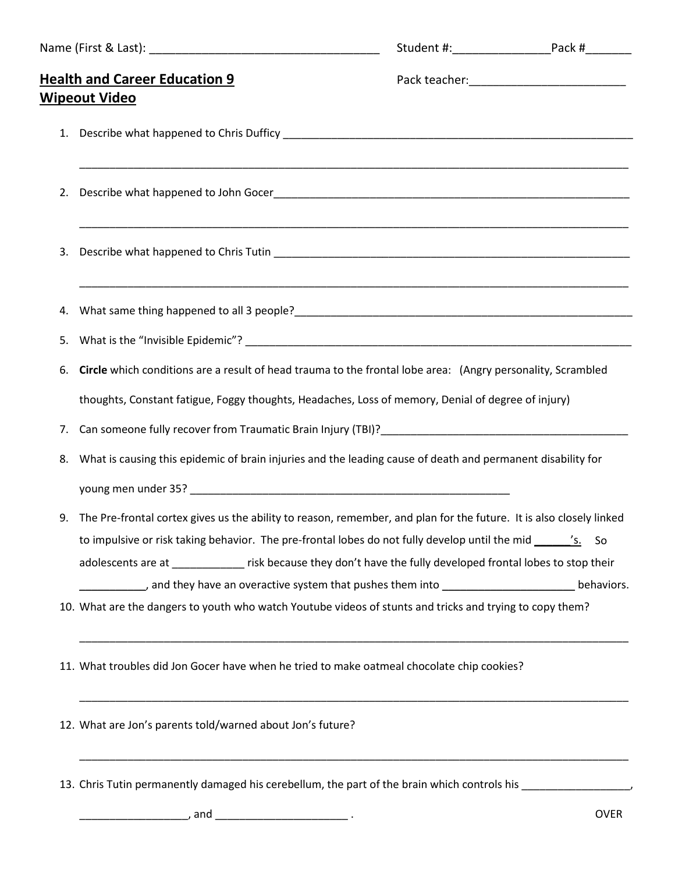| <b>Health and Career Education 9</b><br><b>Wipeout Video</b> |  |                                                                                                                                                                                                                                                                                                                                                                                                                                                                                                                                                                                                                                                                                                                                                                                                                                                                                                                                                                                                                                                                                                                                                                                                                                                                                                                                                                 |
|--------------------------------------------------------------|--|-----------------------------------------------------------------------------------------------------------------------------------------------------------------------------------------------------------------------------------------------------------------------------------------------------------------------------------------------------------------------------------------------------------------------------------------------------------------------------------------------------------------------------------------------------------------------------------------------------------------------------------------------------------------------------------------------------------------------------------------------------------------------------------------------------------------------------------------------------------------------------------------------------------------------------------------------------------------------------------------------------------------------------------------------------------------------------------------------------------------------------------------------------------------------------------------------------------------------------------------------------------------------------------------------------------------------------------------------------------------|
|                                                              |  |                                                                                                                                                                                                                                                                                                                                                                                                                                                                                                                                                                                                                                                                                                                                                                                                                                                                                                                                                                                                                                                                                                                                                                                                                                                                                                                                                                 |
|                                                              |  |                                                                                                                                                                                                                                                                                                                                                                                                                                                                                                                                                                                                                                                                                                                                                                                                                                                                                                                                                                                                                                                                                                                                                                                                                                                                                                                                                                 |
|                                                              |  |                                                                                                                                                                                                                                                                                                                                                                                                                                                                                                                                                                                                                                                                                                                                                                                                                                                                                                                                                                                                                                                                                                                                                                                                                                                                                                                                                                 |
|                                                              |  |                                                                                                                                                                                                                                                                                                                                                                                                                                                                                                                                                                                                                                                                                                                                                                                                                                                                                                                                                                                                                                                                                                                                                                                                                                                                                                                                                                 |
|                                                              |  |                                                                                                                                                                                                                                                                                                                                                                                                                                                                                                                                                                                                                                                                                                                                                                                                                                                                                                                                                                                                                                                                                                                                                                                                                                                                                                                                                                 |
|                                                              |  |                                                                                                                                                                                                                                                                                                                                                                                                                                                                                                                                                                                                                                                                                                                                                                                                                                                                                                                                                                                                                                                                                                                                                                                                                                                                                                                                                                 |
|                                                              |  |                                                                                                                                                                                                                                                                                                                                                                                                                                                                                                                                                                                                                                                                                                                                                                                                                                                                                                                                                                                                                                                                                                                                                                                                                                                                                                                                                                 |
|                                                              |  |                                                                                                                                                                                                                                                                                                                                                                                                                                                                                                                                                                                                                                                                                                                                                                                                                                                                                                                                                                                                                                                                                                                                                                                                                                                                                                                                                                 |
| 8.                                                           |  |                                                                                                                                                                                                                                                                                                                                                                                                                                                                                                                                                                                                                                                                                                                                                                                                                                                                                                                                                                                                                                                                                                                                                                                                                                                                                                                                                                 |
|                                                              |  |                                                                                                                                                                                                                                                                                                                                                                                                                                                                                                                                                                                                                                                                                                                                                                                                                                                                                                                                                                                                                                                                                                                                                                                                                                                                                                                                                                 |
|                                                              |  |                                                                                                                                                                                                                                                                                                                                                                                                                                                                                                                                                                                                                                                                                                                                                                                                                                                                                                                                                                                                                                                                                                                                                                                                                                                                                                                                                                 |
|                                                              |  |                                                                                                                                                                                                                                                                                                                                                                                                                                                                                                                                                                                                                                                                                                                                                                                                                                                                                                                                                                                                                                                                                                                                                                                                                                                                                                                                                                 |
|                                                              |  | ,我们也不能会有什么。""我们的人,我们也不能会有什么?""我们的人,我们也不能会有什么?""我们的人,我们也不能会有什么?""我们的人,我们也不能会有什么?""<br>What same thing happened to all 3 people?<br>and the contract of the contract of the contract of the contract of the contract of the contract of the contract of the contract of the contract of the contract of the contract of<br>Circle which conditions are a result of head trauma to the frontal lobe area: (Angry personality, Scrambled<br>thoughts, Constant fatigue, Foggy thoughts, Headaches, Loss of memory, Denial of degree of injury)<br>Can someone fully recover from Traumatic Brain Injury (TBI)?<br>Can someone fully recover from Traumatic Brain Injury (TBI)?<br>What is causing this epidemic of brain injuries and the leading cause of death and permanent disability for<br>9. The Pre-frontal cortex gives us the ability to reason, remember, and plan for the future. It is also closely linked<br>to impulsive or risk taking behavior. The pre-frontal lobes do not fully develop until the mid ________'s. So<br>adolescents are at ___________ risk because they don't have the fully developed frontal lobes to stop their<br>and they have an overactive system that pushes them into _________________________behaviors.<br>10. What are the dangers to youth who watch Youtube videos of stunts and tricks and trying to copy them? |

12. What are Jon's parents told/warned about Jon's future?

13. Chris Tutin permanently damaged his cerebellum, the part of the brain which controls his \_\_\_\_\_\_\_\_\_\_\_\_\_\_\_\_,